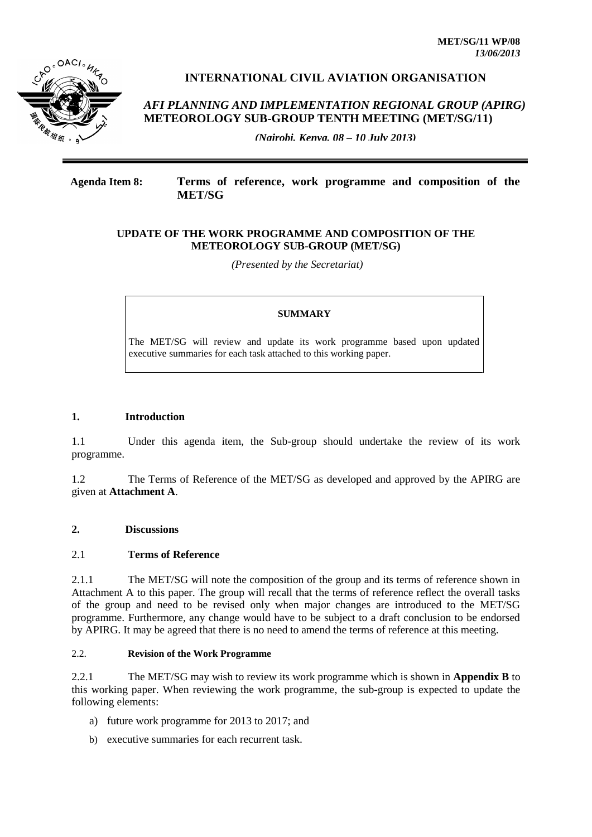

# **INTERNATIONAL CIVIL AVIATION ORGANISATION**

# *AFI PLANNING AND IMPLEMENTATION REGIONAL GROUP (APIRG)* **METEOROLOGY SUB-GROUP TENTH MEETING (MET/SG/11)**

*(Nairobi, Kenya, 08 – 10 July 2013)*

## **Agenda Item 8: Terms of reference, work programme and composition of the MET/SG**

### **UPDATE OF THE WORK PROGRAMME AND COMPOSITION OF THE METEOROLOGY SUB-GROUP (MET/SG)**

*(Presented by the Secretariat)*

#### **SUMMARY**

The MET/SG will review and update its work programme based upon updated executive summaries for each task attached to this working paper.

### **1. Introduction**

1.1 Under this agenda item, the Sub-group should undertake the review of its work programme.

1.2 The Terms of Reference of the MET/SG as developed and approved by the APIRG are given at **Attachment A**.

## **2. Discussions**

#### 2.1 **Terms of Reference**

2.1.1 The MET/SG will note the composition of the group and its terms of reference shown in Attachment A to this paper. The group will recall that the terms of reference reflect the overall tasks of the group and need to be revised only when major changes are introduced to the MET/SG programme. Furthermore, any change would have to be subject to a draft conclusion to be endorsed by APIRG. It may be agreed that there is no need to amend the terms of reference at this meeting.

#### 2.2. **Revision of the Work Programme**

2.2.1 The MET/SG may wish to review its work programme which is shown in **Appendix B** to this working paper. When reviewing the work programme, the sub-group is expected to update the following elements:

- a) future work programme for 2013 to 2017; and
- b) executive summaries for each recurrent task.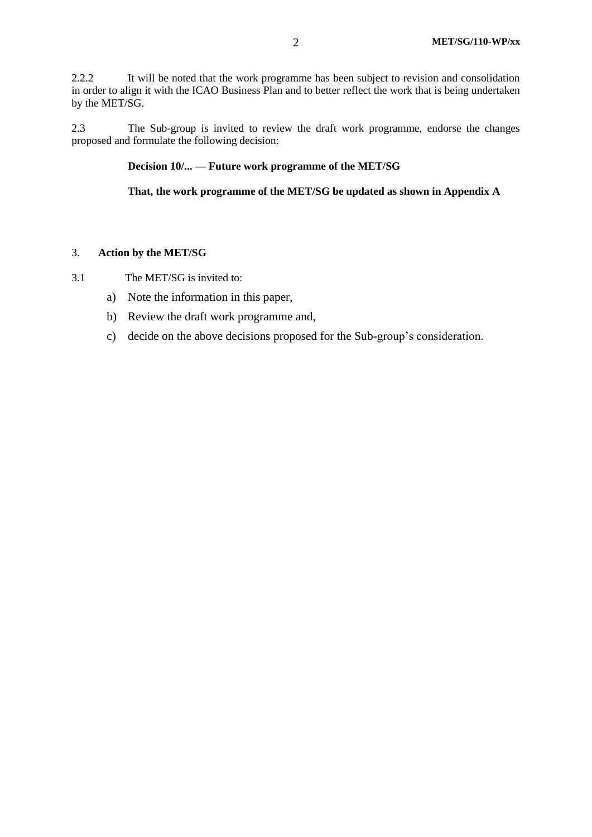2.2.2 It will be noted that the work programme has been subject to revision and consolidation in order to align it with the ICAO Business Plan and to better reflect the work that is being undertaken by the MET/SG.

2.3 The Sub-group is invited to review the draft work programme, endorse the changes proposed and formulate the following decision:

#### **Decision 10/... — Future work programme of the MET/SG**

**That, the work programme of the MET/SG be updated as shown in Appendix A**

#### 3. **Action by the MET/SG**

- 3.1 The MET/SG is invited to:
	- a) Note the information in this paper,
	- b) Review the draft work programme and,
	- c) decide on the above decisions proposed for the Sub-group's consideration.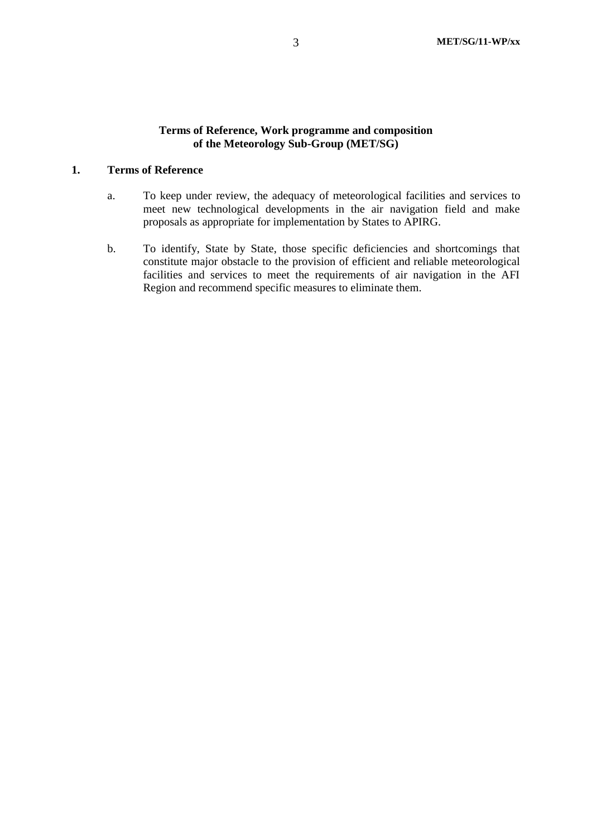## **Terms of Reference, Work programme and composition of the Meteorology Sub-Group (MET/SG)**

## **1. Terms of Reference**

- a. To keep under review, the adequacy of meteorological facilities and services to meet new technological developments in the air navigation field and make proposals as appropriate for implementation by States to APIRG.
- b. To identify, State by State, those specific deficiencies and shortcomings that constitute major obstacle to the provision of efficient and reliable meteorological facilities and services to meet the requirements of air navigation in the AFI Region and recommend specific measures to eliminate them.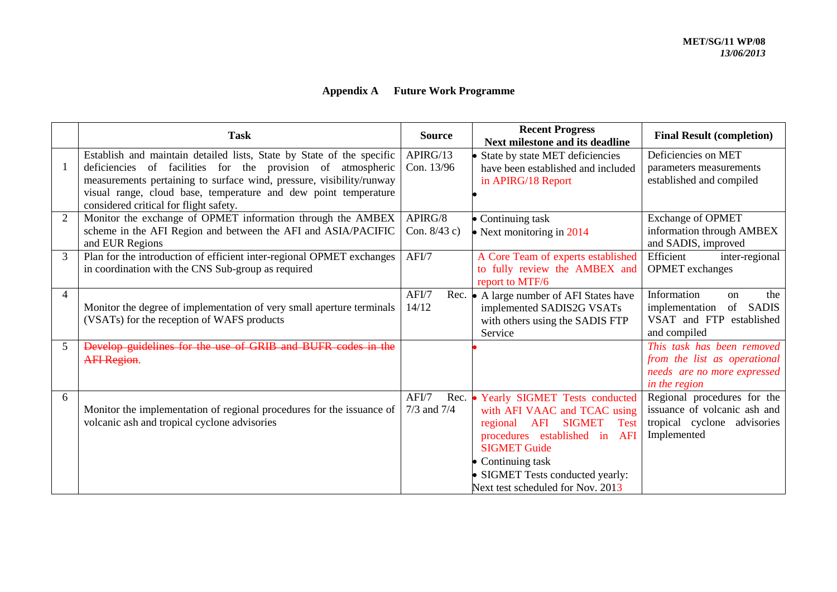| <b>Appendix A</b> |  | <b>Future Work Programme</b> |
|-------------------|--|------------------------------|
|-------------------|--|------------------------------|

|                | <b>Task</b>                                                                                                                         | <b>Source</b>   | <b>Recent Progress</b><br><b>Next milestone and its deadline</b> | <b>Final Result (completion)</b>                                 |
|----------------|-------------------------------------------------------------------------------------------------------------------------------------|-----------------|------------------------------------------------------------------|------------------------------------------------------------------|
|                | Establish and maintain detailed lists, State by State of the specific                                                               | APIRG/13        | • State by state MET deficiencies                                | Deficiencies on MET                                              |
| -1             | deficiencies of facilities for the provision of atmospheric<br>measurements pertaining to surface wind, pressure, visibility/runway | Con. 13/96      | have been established and included                               | parameters measurements<br>established and compiled              |
|                | visual range, cloud base, temperature and dew point temperature                                                                     |                 | in APIRG/18 Report                                               |                                                                  |
|                | considered critical for flight safety.                                                                                              |                 |                                                                  |                                                                  |
| 2              | Monitor the exchange of OPMET information through the AMBEX                                                                         | APIRG/8         | • Continuing task                                                | <b>Exchange of OPMET</b>                                         |
|                | scheme in the AFI Region and between the AFI and ASIA/PACIFIC<br>and EUR Regions                                                    | Con. $8/43$ c)  | • Next monitoring in $2014$                                      | information through AMBEX<br>and SADIS, improved                 |
| 3              | Plan for the introduction of efficient inter-regional OPMET exchanges                                                               | AFI/7           | A Core Team of experts established                               | Efficient<br>inter-regional                                      |
|                | in coordination with the CNS Sub-group as required                                                                                  |                 | to fully review the AMBEX and<br>report to MTF/6                 | <b>OPMET</b> exchanges                                           |
| $\overline{4}$ |                                                                                                                                     | AFI/7           | Rec. • A large number of AFI States have                         | Information<br>the<br><sub>on</sub>                              |
|                | Monitor the degree of implementation of very small aperture terminals<br>(VSATs) for the reception of WAFS products                 | 14/12           | implemented SADIS2G VSATs<br>with others using the SADIS FTP     | implementation<br>of<br><b>SADIS</b><br>VSAT and FTP established |
|                |                                                                                                                                     |                 | Service                                                          | and compiled                                                     |
| 5              | Develop guidelines for the use of GRIB and BUFR codes in the                                                                        |                 |                                                                  | This task has been removed                                       |
|                | <b>AFI</b> Region.                                                                                                                  |                 |                                                                  | from the list as operational<br>needs are no more expressed      |
|                |                                                                                                                                     |                 |                                                                  | in the region                                                    |
| 6              |                                                                                                                                     | AFI/7           | Rec. • Yearly SIGMET Tests conducted                             | Regional procedures for the                                      |
|                | Monitor the implementation of regional procedures for the issuance of                                                               | $7/3$ and $7/4$ | with AFI VAAC and TCAC using                                     | issuance of volcanic ash and                                     |
|                | volcanic ash and tropical cyclone advisories                                                                                        |                 | AFI<br><b>SIGMET</b><br>Test<br>regional                         | tropical cyclone advisories<br>Implemented                       |
|                |                                                                                                                                     |                 | procedures established in<br>AFI<br><b>SIGMET Guide</b>          |                                                                  |
|                |                                                                                                                                     |                 | • Continuing task                                                |                                                                  |
|                |                                                                                                                                     |                 | • SIGMET Tests conducted yearly:                                 |                                                                  |
|                |                                                                                                                                     |                 | Next test scheduled for Nov. 2013                                |                                                                  |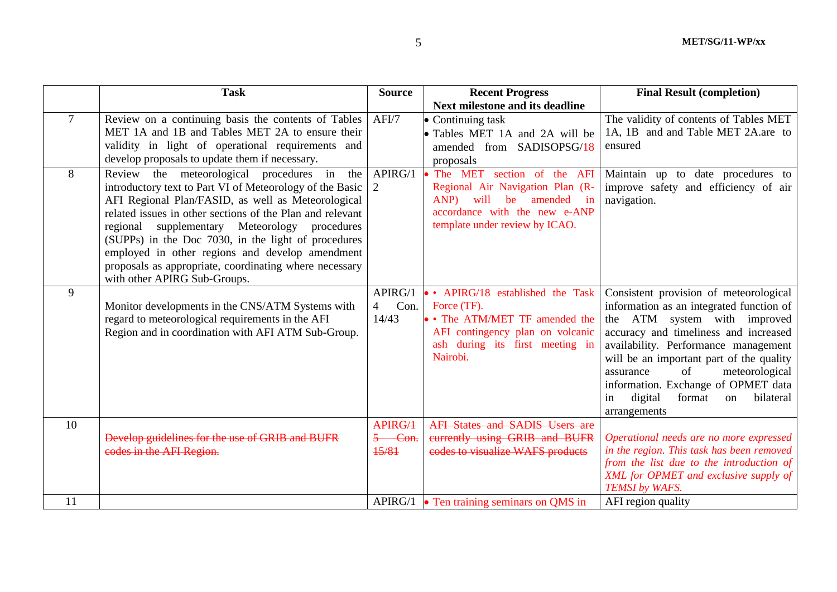|    | <b>Task</b>                                                                                                                                                                                                                                                                                                                                                                                                                                                                     | <b>Source</b>                              | <b>Recent Progress</b>                                                                                                                                                                        | <b>Final Result (completion)</b>                                                                                                                                                                                                                                                                                                                                                          |
|----|---------------------------------------------------------------------------------------------------------------------------------------------------------------------------------------------------------------------------------------------------------------------------------------------------------------------------------------------------------------------------------------------------------------------------------------------------------------------------------|--------------------------------------------|-----------------------------------------------------------------------------------------------------------------------------------------------------------------------------------------------|-------------------------------------------------------------------------------------------------------------------------------------------------------------------------------------------------------------------------------------------------------------------------------------------------------------------------------------------------------------------------------------------|
|    |                                                                                                                                                                                                                                                                                                                                                                                                                                                                                 |                                            | <b>Next milestone and its deadline</b>                                                                                                                                                        |                                                                                                                                                                                                                                                                                                                                                                                           |
| 7  | Review on a continuing basis the contents of Tables<br>MET 1A and 1B and Tables MET 2A to ensure their<br>validity in light of operational requirements and<br>develop proposals to update them if necessary.                                                                                                                                                                                                                                                                   | AFI/7                                      | • Continuing task<br>• Tables MET 1A and 2A will be<br>amended from SADISOPSG/18<br>proposals                                                                                                 | The validity of contents of Tables MET<br>1A, 1B and and Table MET 2A.are to<br>ensured                                                                                                                                                                                                                                                                                                   |
| 8  | Review the meteorological procedures in the<br>introductory text to Part VI of Meteorology of the Basic<br>AFI Regional Plan/FASID, as well as Meteorological<br>related issues in other sections of the Plan and relevant<br>regional supplementary Meteorology procedures<br>(SUPPs) in the Doc 7030, in the light of procedures<br>employed in other regions and develop amendment<br>proposals as appropriate, coordinating where necessary<br>with other APIRG Sub-Groups. | APIRG/1<br>2                               | The MET section of the AFI<br>Regional Air Navigation Plan (R-<br>amended<br>ANP)<br>will<br>be<br>$\overline{\mathbf{m}}$<br>accordance with the new e-ANP<br>template under review by ICAO. | Maintain up to date procedures to<br>improve safety and efficiency of air<br>navigation.                                                                                                                                                                                                                                                                                                  |
| 9  | Monitor developments in the CNS/ATM Systems with<br>regard to meteorological requirements in the AFI<br>Region and in coordination with AFI ATM Sub-Group.                                                                                                                                                                                                                                                                                                                      | APIRG/1<br>Con.<br>$\overline{4}$<br>14/43 | • APIRG/18 established the Task<br>Force (TF).<br>• The ATM/MET TF amended the<br>AFI contingency plan on volcanic<br>ash during its first meeting in<br>Nairobi.                             | Consistent provision of meteorological<br>information as an integrated function of<br>the ATM system with improved<br>accuracy and timeliness and increased<br>availability. Performance management<br>will be an important part of the quality<br>of<br>meteorological<br>assurance<br>information. Exchange of OPMET data<br>digital<br>format<br>bilateral<br>in<br>on<br>arrangements |
| 10 | Develop guidelines for the use of GRIB and BUFR<br>codes in the AFI Region.                                                                                                                                                                                                                                                                                                                                                                                                     | APIRG/1<br>5 Con.<br>15/81                 | <b>AFI States and SADIS Users are</b><br>eurrently using GRIB and BUFR<br>codes to visualize WAFS products                                                                                    | Operational needs are no more expressed<br>in the region. This task has been removed                                                                                                                                                                                                                                                                                                      |
|    |                                                                                                                                                                                                                                                                                                                                                                                                                                                                                 |                                            |                                                                                                                                                                                               | from the list due to the introduction of<br>XML for OPMET and exclusive supply of<br><b>TEMSI</b> by WAFS.                                                                                                                                                                                                                                                                                |
| 11 |                                                                                                                                                                                                                                                                                                                                                                                                                                                                                 |                                            | APIRG/1 $\bullet$ Ten training seminars on QMS in                                                                                                                                             | AFI region quality                                                                                                                                                                                                                                                                                                                                                                        |